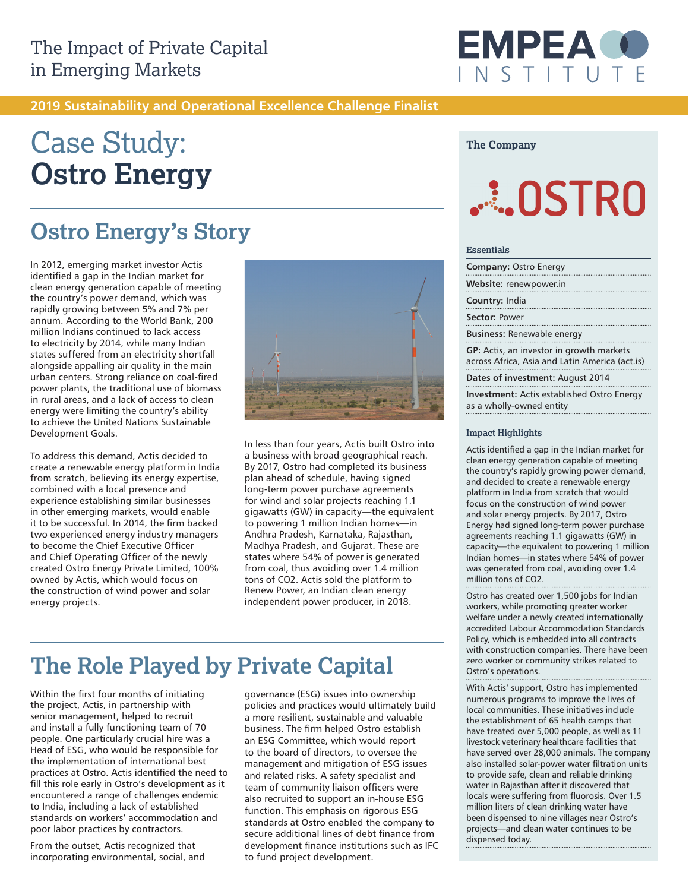

### **2019 Sustainability and Operational Excellence Challenge Finalist**

# Case Study: **Ostro Energy**

## **Ostro Energy's Story**

In 2012, emerging market investor Actis identified a gap in the Indian market for clean energy generation capable of meeting the country's power demand, which was rapidly growing between 5% and 7% per annum. According to the World Bank, 200 million Indians continued to lack access to electricity by 2014, while many Indian states suffered from an electricity shortfall alongside appalling air quality in the main urban centers. Strong reliance on coal-fired power plants, the traditional use of biomass in rural areas, and a lack of access to clean energy were limiting the country's ability to achieve the United Nations Sustainable Development Goals.

To address this demand, Actis decided to create a renewable energy platform in India from scratch, believing its energy expertise, combined with a local presence and experience establishing similar businesses in other emerging markets, would enable it to be successful. In 2014, the firm backed two experienced energy industry managers to become the Chief Executive Officer and Chief Operating Officer of the newly created Ostro Energy Private Limited, 100% owned by Actis, which would focus on the construction of wind power and solar energy projects.



In less than four years, Actis built Ostro into a business with broad geographical reach. By 2017, Ostro had completed its business plan ahead of schedule, having signed long-term power purchase agreements for wind and solar projects reaching 1.1 gigawatts (GW) in capacity—the equivalent to powering 1 million Indian homes—in Andhra Pradesh, Karnataka, Rajasthan, Madhya Pradesh, and Gujarat. These are states where 54% of power is generated from coal, thus avoiding over 1.4 million tons of CO2. Actis sold the platform to Renew Power, an Indian clean energy independent power producer, in 2018.

## **The Role Played by Private Capital**

Within the first four months of initiating the project, Actis, in partnership with senior management, helped to recruit and install a fully functioning team of 70 people. One particularly crucial hire was a Head of ESG, who would be responsible for the implementation of international best practices at Ostro. Actis identified the need to fill this role early in Ostro's development as it encountered a range of challenges endemic to India, including a lack of established standards on workers' accommodation and poor labor practices by contractors.

From the outset, Actis recognized that incorporating environmental, social, and

governance (ESG) issues into ownership policies and practices would ultimately build a more resilient, sustainable and valuable business. The firm helped Ostro establish an ESG Committee, which would report to the board of directors, to oversee the management and mitigation of ESG issues and related risks. A safety specialist and team of community liaison officers were also recruited to support an in-house ESG function. This emphasis on rigorous ESG standards at Ostro enabled the company to secure additional lines of debt finance from development finance institutions such as IFC to fund project development.

#### **The Company**

# **ALLOSTRO**

#### **Essentials**

**Company:** Ostro Energy

**Website:** renewpower.in

**Country:** India

#### **Sector:** Power

**Business:** Renewable energy

**GP:** Actis, an investor in growth markets across Africa, Asia and Latin America (act.is)

**Dates of investment:** August 2014

**Investment:** Actis established Ostro Energy as a wholly-owned entity

#### **Impact Highlights**

Actis identified a gap in the Indian market for clean energy generation capable of meeting the country's rapidly growing power demand, and decided to create a renewable energy platform in India from scratch that would focus on the construction of wind power and solar energy projects. By 2017, Ostro Energy had signed long-term power purchase agreements reaching 1.1 gigawatts (GW) in capacity—the equivalent to powering 1 million Indian homes—in states where 54% of power was generated from coal, avoiding over 1.4 million tons of CO2.

Ostro has created over 1,500 jobs for Indian workers, while promoting greater worker welfare under a newly created internationally accredited Labour Accommodation Standards Policy, which is embedded into all contracts with construction companies. There have been zero worker or community strikes related to Ostro's operations.

With Actis' support, Ostro has implemented numerous programs to improve the lives of local communities. These initiatives include the establishment of 65 health camps that have treated over 5,000 people, as well as 11 livestock veterinary healthcare facilities that have served over 28,000 animals. The company also installed solar-power water filtration units to provide safe, clean and reliable drinking water in Rajasthan after it discovered that locals were suffering from fluorosis. Over 1.5 million liters of clean drinking water have been dispensed to nine villages near Ostro's projects—and clean water continues to be dispensed today.